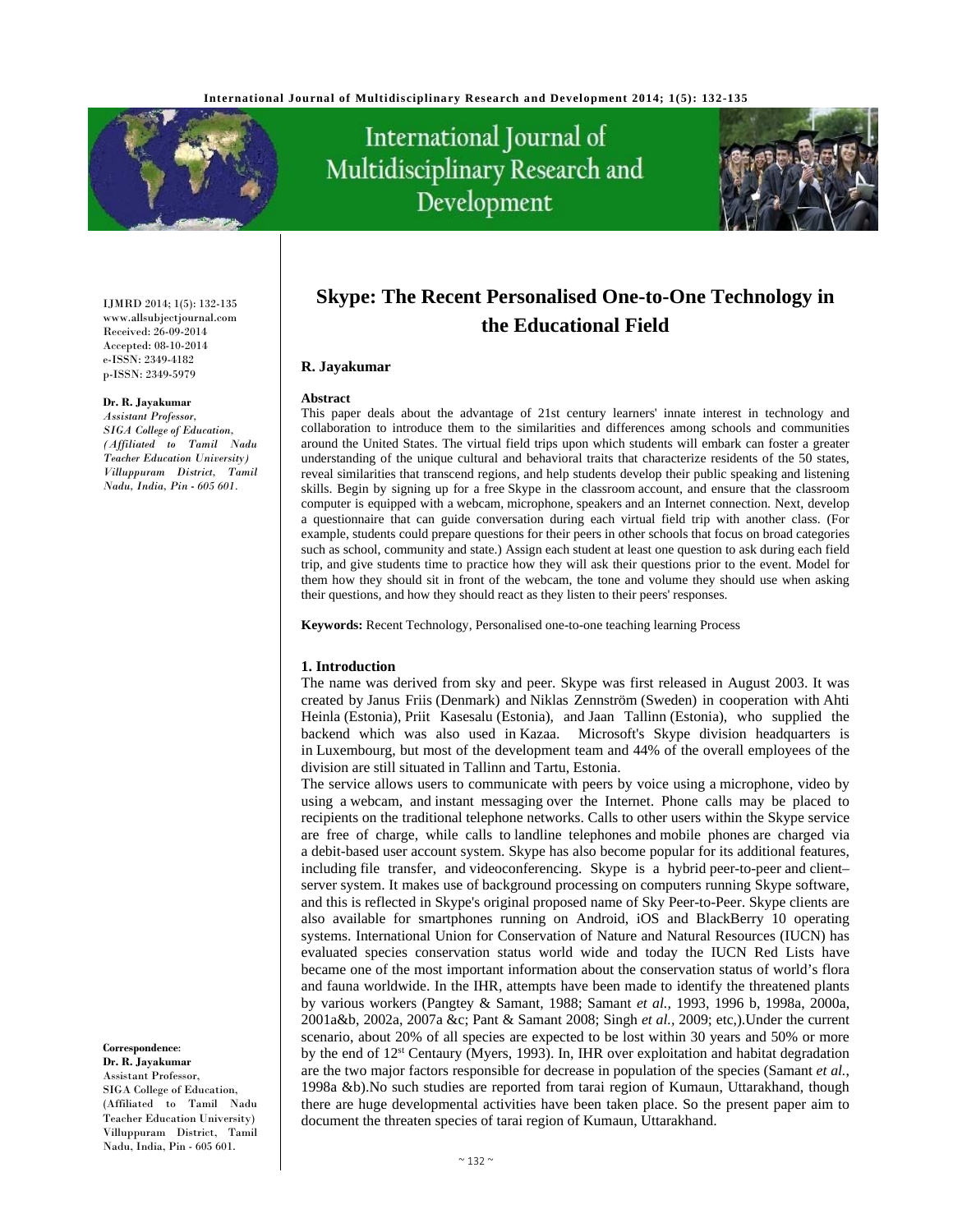

# International Journal of Multidisciplinary Research and Development



IJMRD 2014; 1(5): 132-135 www.allsubjectjournal.com Received: 26-09-2014 Accepted: 08-10-2014 e-ISSN: 2349-4182 p-ISSN: 2349-5979

#### **Dr. R. Jayakumar**

*Assistant Professor, SIGA College of Education, (Affiliated to Tamil Nadu Teacher Education University) Villuppuram District, Tamil Nadu, India, Pin - 605 601.* 

#### **Correspondence**:

**Dr. R. Jayakumar** Assistant Professor, SIGA College of Education, (Affiliated to Tamil Nadu Teacher Education University) Villuppuram District, Tamil Nadu, India, Pin - 605 601.

# **Skype: The Recent Personalised One-to-One Technology in the Educational Field**

#### **R. Jayakumar**

#### **Abstract**

This paper deals about the advantage of 21st century learners' innate interest in technology and collaboration to introduce them to the similarities and differences among schools and communities around the United States. The virtual field trips upon which students will embark can foster a greater understanding of the unique cultural and behavioral traits that characterize residents of the 50 states, reveal similarities that transcend regions, and help students develop their public speaking and listening skills. Begin by signing up for a free Skype in the classroom account, and ensure that the classroom computer is equipped with a webcam, microphone, speakers and an Internet connection. Next, develop a questionnaire that can guide conversation during each virtual field trip with another class. (For example, students could prepare questions for their peers in other schools that focus on broad categories such as school, community and state.) Assign each student at least one question to ask during each field trip, and give students time to practice how they will ask their questions prior to the event. Model for them how they should sit in front of the webcam, the tone and volume they should use when asking their questions, and how they should react as they listen to their peers' responses.

**Keywords:** Recent Technology, Personalised one-to-one teaching learning Process

#### **1. Introduction**

The name was derived from sky and peer. Skype was first released in August 2003. It was created by Janus Friis (Denmark) and Niklas Zennström (Sweden) in cooperation with Ahti Heinla (Estonia), Priit Kasesalu (Estonia), and Jaan Tallinn (Estonia), who supplied the backend which was also used in Kazaa. Microsoft's Skype division headquarters is in Luxembourg, but most of the development team and 44% of the overall employees of the division are still situated in Tallinn and Tartu, Estonia.

The service allows users to communicate with peers by voice using a microphone, video by using a webcam, and instant messaging over the Internet. Phone calls may be placed to recipients on the traditional telephone networks. Calls to other users within the Skype service are free of charge, while calls to landline telephones and mobile phones are charged via a debit-based user account system. Skype has also become popular for its additional features, including file transfer, and videoconferencing. Skype is a hybrid peer-to-peer and client– server system. It makes use of background processing on computers running Skype software, and this is reflected in Skype's original proposed name of Sky Peer-to-Peer. Skype clients are also available for smartphones running on Android, iOS and BlackBerry 10 operating systems. International Union for Conservation of Nature and Natural Resources (IUCN) has evaluated species conservation status world wide and today the IUCN Red Lists have became one of the most important information about the conservation status of world's flora and fauna worldwide. In the IHR, attempts have been made to identify the threatened plants by various workers (Pangtey & Samant, 1988; Samant *et al.,* 1993, 1996 b, 1998a, 2000a, 2001a&b, 2002a, 2007a &c; Pant & Samant 2008; Singh *et al.,* 2009; etc,).Under the current scenario, about 20% of all species are expected to be lost within 30 years and 50% or more by the end of 12<sup>st</sup> Centaury (Myers, 1993). In, IHR over exploitation and habitat degradation are the two major factors responsible for decrease in population of the species (Samant *et al.*, 1998a &b).No such studies are reported from tarai region of Kumaun, Uttarakhand, though there are huge developmental activities have been taken place. So the present paper aim to document the threaten species of tarai region of Kumaun, Uttarakhand.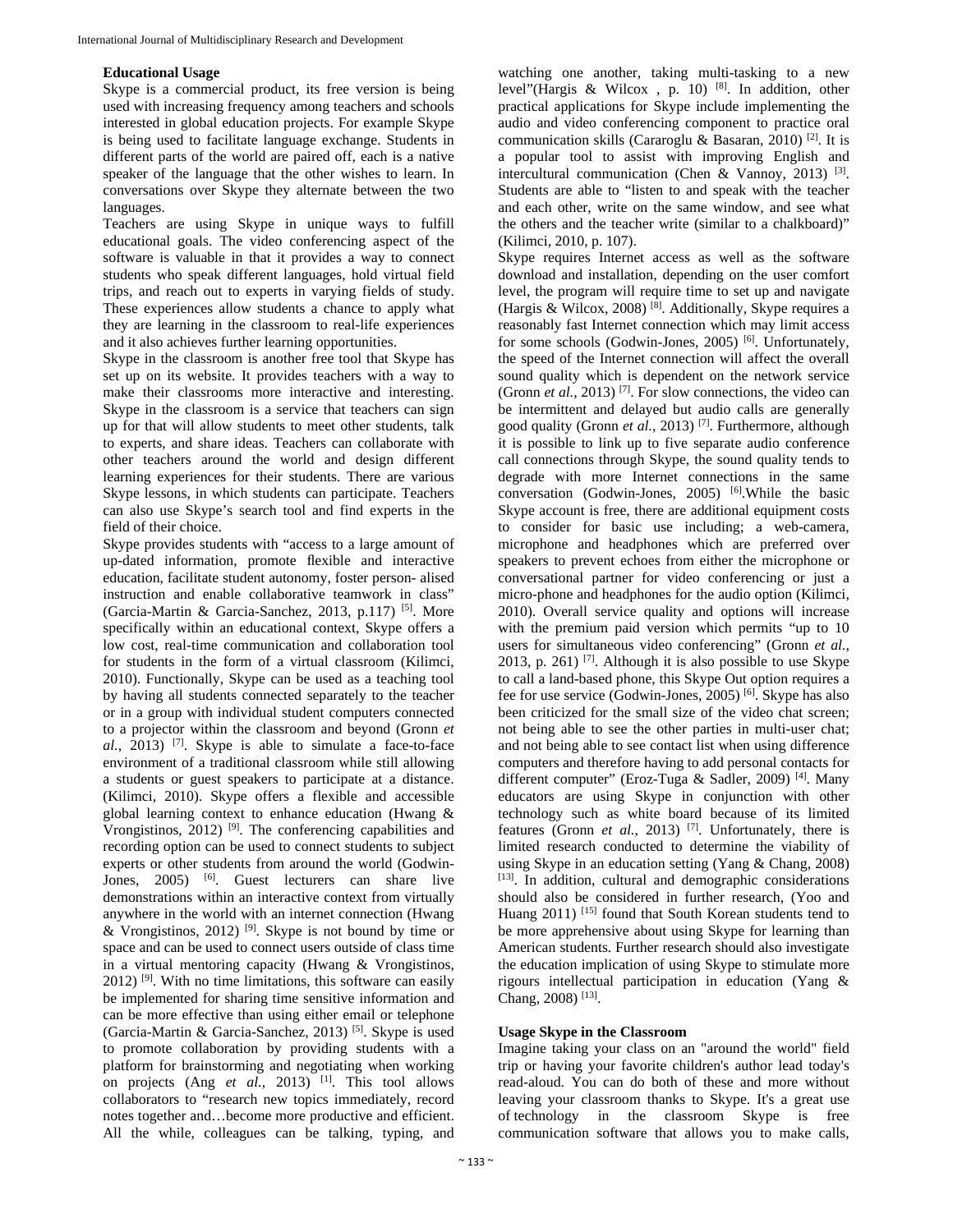# **Educational Usage**

Skype is a commercial product, its free version is being used with increasing frequency among teachers and schools interested in global education projects. For example Skype is being used to facilitate language exchange. Students in different parts of the world are paired off, each is a native speaker of the language that the other wishes to learn. In conversations over Skype they alternate between the two languages.

Teachers are using Skype in unique ways to fulfill educational goals. The video conferencing aspect of the software is valuable in that it provides a way to connect students who speak different languages, hold virtual field trips, and reach out to experts in varying fields of study. These experiences allow students a chance to apply what they are learning in the classroom to real-life experiences and it also achieves further learning opportunities.

Skype in the classroom is another free tool that Skype has set up on its website. It provides teachers with a way to make their classrooms more interactive and interesting. Skype in the classroom is a service that teachers can sign up for that will allow students to meet other students, talk to experts, and share ideas. Teachers can collaborate with other teachers around the world and design different learning experiences for their students. There are various Skype lessons, in which students can participate. Teachers can also use Skype's search tool and find experts in the field of their choice.

Skype provides students with "access to a large amount of up-dated information, promote flexible and interactive education, facilitate student autonomy, foster person- alised instruction and enable collaborative teamwork in class" (Garcia-Martin & Garcia-Sanchez, 2013, p.117)<sup>[5]</sup>. More specifically within an educational context, Skype offers a low cost, real-time communication and collaboration tool for students in the form of a virtual classroom (Kilimci, 2010). Functionally, Skype can be used as a teaching tool by having all students connected separately to the teacher or in a group with individual student computers connected to a projector within the classroom and beyond (Gronn *et*   $al., 2013)$  <sup>[7]</sup>. Skype is able to simulate a face-to-face environment of a traditional classroom while still allowing a students or guest speakers to participate at a distance. (Kilimci, 2010). Skype offers a flexible and accessible global learning context to enhance education (Hwang & Vrongistinos, 2012) [9]. The conferencing capabilities and recording option can be used to connect students to subject experts or other students from around the world (Godwin-Jones, 2005) <sup>[6]</sup>. Guest lecturers can share live demonstrations within an interactive context from virtually anywhere in the world with an internet connection (Hwang & Vrongistinos, 2012) <sup>[9]</sup>. Skype is not bound by time or space and can be used to connect users outside of class time in a virtual mentoring capacity (Hwang & Vrongistinos,  $2012$ ) <sup>[9]</sup>. With no time limitations, this software can easily be implemented for sharing time sensitive information and can be more effective than using either email or telephone (Garcia-Martin & Garcia-Sanchez, 2013) [5]. Skype is used to promote collaboration by providing students with a platform for brainstorming and negotiating when working on projects (Ang *et al.*, 2013)<sup>[1]</sup>. This tool allows collaborators to "research new topics immediately, record notes together and…become more productive and efficient. All the while, colleagues can be talking, typing, and

watching one another, taking multi-tasking to a new level"(Hargis & Wilcox, p. 10)<sup>[8]</sup>. In addition, other practical applications for Skype include implementing the audio and video conferencing component to practice oral communication skills (Cararoglu & Basaran, 2010) <sup>[2]</sup>. It is a popular tool to assist with improving English and intercultural communication (Chen & Vannoy, 2013)  $[3]$ . Students are able to "listen to and speak with the teacher and each other, write on the same window, and see what the others and the teacher write (similar to a chalkboard)" (Kilimci, 2010, p. 107).

Skype requires Internet access as well as the software download and installation, depending on the user comfort level, the program will require time to set up and navigate (Hargis & Wilcox, 2008)<sup>[8]</sup>. Additionally, Skype requires a reasonably fast Internet connection which may limit access for some schools (Godwin-Jones, 2005)<sup>[6]</sup>. Unfortunately, the speed of the Internet connection will affect the overall sound quality which is dependent on the network service (Gronn *et al.*, 2013)<sup>[7]</sup>. For slow connections, the video can be intermittent and delayed but audio calls are generally good quality (Gronn *et al.*, 2013) [7]. Furthermore, although it is possible to link up to five separate audio conference call connections through Skype, the sound quality tends to degrade with more Internet connections in the same conversation (Godwin-Jones, 2005) [6].While the basic Skype account is free, there are additional equipment costs to consider for basic use including; a web-camera, microphone and headphones which are preferred over speakers to prevent echoes from either the microphone or conversational partner for video conferencing or just a micro-phone and headphones for the audio option (Kilimci, 2010). Overall service quality and options will increase with the premium paid version which permits "up to 10 users for simultaneous video conferencing" (Gronn *et al.*, 2013, p. 261) <sup>[7]</sup>. Although it is also possible to use Skype to call a land-based phone, this Skype Out option requires a fee for use service (Godwin-Jones, 2005) [6]. Skype has also been criticized for the small size of the video chat screen; not being able to see the other parties in multi-user chat; and not being able to see contact list when using difference computers and therefore having to add personal contacts for different computer" (Eroz-Tuga & Sadler, 2009) [4]. Many educators are using Skype in conjunction with other technology such as white board because of its limited features (Gronn *et al.*, 2013) [7]. Unfortunately, there is limited research conducted to determine the viability of using Skype in an education setting (Yang & Chang, 2008) [13]. In addition, cultural and demographic considerations should also be considered in further research, (Yoo and Huang 2011) [15] found that South Korean students tend to be more apprehensive about using Skype for learning than American students. Further research should also investigate the education implication of using Skype to stimulate more rigours intellectual participation in education (Yang & Chang, 2008) [13].

# **Usage Skype in the Classroom**

Imagine taking your class on an "around the world" field trip or having your favorite children's author lead today's read-aloud. You can do both of these and more without leaving your classroom thanks to Skype. It's a great use of technology in the classroom Skype is free communication software that allows you to make calls,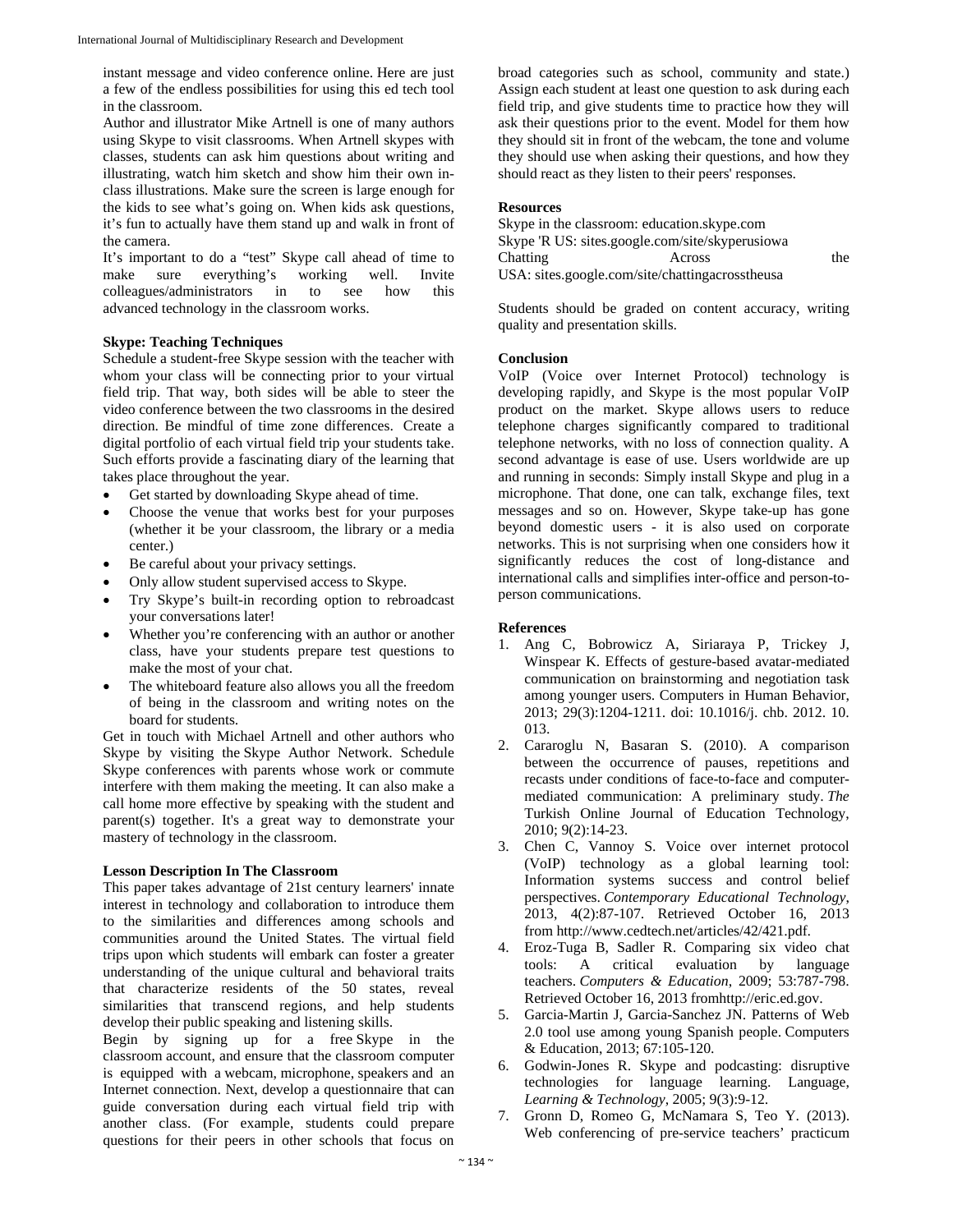instant message and video conference online. Here are just a few of the endless possibilities for using this ed tech tool in the classroom.

Author and illustrator Mike Artnell is one of many authors using Skype to visit classrooms. When Artnell skypes with classes, students can ask him questions about writing and illustrating, watch him sketch and show him their own inclass illustrations. Make sure the screen is large enough for the kids to see what's going on. When kids ask questions, it's fun to actually have them stand up and walk in front of the camera.

It's important to do a "test" Skype call ahead of time to make sure everything's working well. Invite colleagues/administrators in to see how this advanced technology in the classroom works.

## **Skype: Teaching Techniques**

Schedule a student-free Skype session with the teacher with whom your class will be connecting prior to your virtual field trip. That way, both sides will be able to steer the video conference between the two classrooms in the desired direction. Be mindful of time zone differences. Create a digital portfolio of each virtual field trip your students take. Such efforts provide a fascinating diary of the learning that takes place throughout the year.

- Get started by downloading Skype ahead of time.
- Choose the venue that works best for your purposes (whether it be your classroom, the library or a media center.)
- Be careful about your privacy settings.
- Only allow student supervised access to Skype.
- Try Skype's built-in recording option to rebroadcast your conversations later!
- Whether you're conferencing with an author or another class, have your students prepare test questions to make the most of your chat.
- The whiteboard feature also allows you all the freedom of being in the classroom and writing notes on the board for students.

Get in touch with Michael Artnell and other authors who Skype by visiting the Skype Author Network. Schedule Skype conferences with parents whose work or commute interfere with them making the meeting. It can also make a call home more effective by speaking with the student and parent(s) together. It's a great way to demonstrate your mastery of technology in the classroom.

## **Lesson Description In The Classroom**

This paper takes advantage of 21st century learners' innate interest in technology and collaboration to introduce them to the similarities and differences among schools and communities around the United States. The virtual field trips upon which students will embark can foster a greater understanding of the unique cultural and behavioral traits that characterize residents of the 50 states, reveal similarities that transcend regions, and help students develop their public speaking and listening skills.

Begin by signing up for a free Skype in the classroom account, and ensure that the classroom computer is equipped with a webcam, microphone, speakers and an Internet connection. Next, develop a questionnaire that can guide conversation during each virtual field trip with another class. (For example, students could prepare questions for their peers in other schools that focus on

broad categories such as school, community and state.) Assign each student at least one question to ask during each field trip, and give students time to practice how they will ask their questions prior to the event. Model for them how they should sit in front of the webcam, the tone and volume they should use when asking their questions, and how they should react as they listen to their peers' responses.

#### **Resources**

Skype in the classroom: education.skype.com Skype 'R US: sites.google.com/site/skyperusiowa Chatting Across the USA: sites.google.com/site/chattingacrosstheusa

Students should be graded on content accuracy, writing quality and presentation skills.

#### **Conclusion**

VoIP (Voice over Internet Protocol) technology is developing rapidly, and Skype is the most popular VoIP product on the market. Skype allows users to reduce telephone charges significantly compared to traditional telephone networks, with no loss of connection quality. A second advantage is ease of use. Users worldwide are up and running in seconds: Simply install Skype and plug in a microphone. That done, one can talk, exchange files, text messages and so on. However, Skype take-up has gone beyond domestic users - it is also used on corporate networks. This is not surprising when one considers how it significantly reduces the cost of long-distance and international calls and simplifies inter-office and person-toperson communications.

## **References**

- 1. Ang C, Bobrowicz A, Siriaraya P, Trickey J, Winspear K. Effects of gesture-based avatar-mediated communication on brainstorming and negotiation task among younger users. Computers in Human Behavior, 2013; 29(3):1204-1211. doi: 10.1016/j. chb. 2012. 10. 013.
- 2. Cararoglu N, Basaran S. (2010). A comparison between the occurrence of pauses, repetitions and recasts under conditions of face-to-face and computermediated communication: A preliminary study. *The*  Turkish Online Journal of Education Technology, 2010; 9(2):14-23.
- 3. Chen C, Vannoy S. Voice over internet protocol (VoIP) technology as a global learning tool: Information systems success and control belief perspectives. *Contemporary Educational Technology*, 2013, 4(2):87-107. Retrieved October 16, 2013 from http://www.cedtech.net/articles/42/421.pdf.
- 4. Eroz-Tuga B, Sadler R. Comparing six video chat tools: A critical evaluation by language teachers. *Computers & Education*, 2009; 53:787-798. Retrieved October 16, 2013 fromhttp://eric.ed.gov.
- 5. Garcia-Martin J, Garcia-Sanchez JN. Patterns of Web 2.0 tool use among young Spanish people. Computers & Education, 2013; 67:105-120.
- 6. Godwin-Jones R. Skype and podcasting: disruptive technologies for language learning. Language, *Learning & Technology*, 2005; 9(3):9-12.
- 7. Gronn D, Romeo G, McNamara S, Teo Y. (2013). Web conferencing of pre-service teachers' practicum